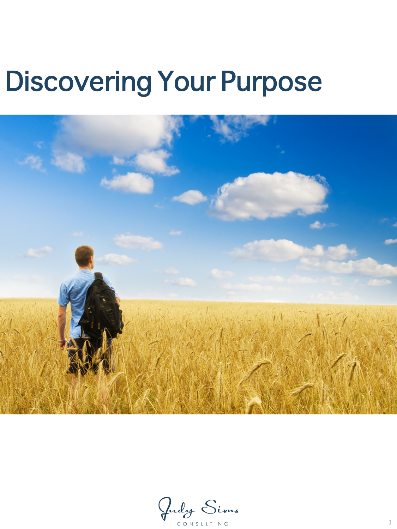# Discovering Your Purpose



Judy Sims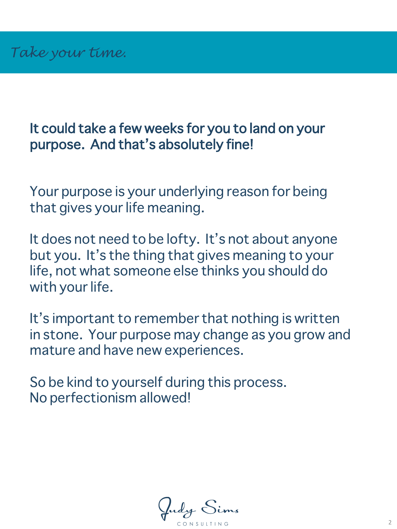#### It could take a few weeks for you to land on your purpose. And that's absolutely fine!

Your purpose is your underlying reason for being that gives your life meaning.

It does not need to be lofty. It's not about anyone but you. It's the thing that gives meaning to your life, not what someone else thinks you should do with your life.

It's important to remember that nothing is written in stone. Your purpose may change as you grow and mature and have new experiences.

So be kind to yourself during this process. No perfectionism allowed!

fudy Sims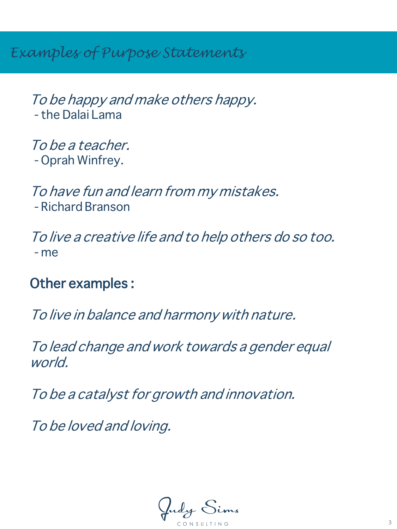*Examples of Purpose Statements*

To be happy and make others happy. - the Dalai Lama

To be a teacher. - Oprah Winfrey.

To have fun and learn from my mistakes. - Richard Branson

To live a creative life and to help others do so too. - me

Other examples :

To live in balance and harmony with nature.

To lead change and work towards a gender equal world.

To be a catalyst for growth and innovation.

To be loved and loving.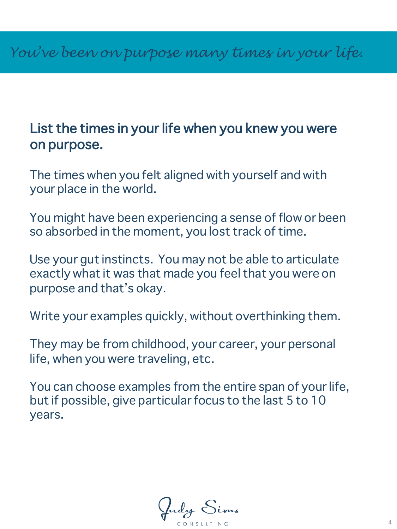#### List the times in your life when you knew you were on purpose.

The times when you felt aligned with yourself and with your place in the world.

You might have been experiencing a sense of flow or been so absorbed in the moment, you lost track of time.

Use your gut instincts. You may not be able to articulate exactly what it was that made you feel that you were on purpose and that's okay.

Write your examples quickly, without overthinking them.

They may be from childhood, your career, your personal life, when you were traveling, etc.

You can choose examples from the entire span of your life, but if possible, give particular focus to the last 5 to 10 years.

Judy Sims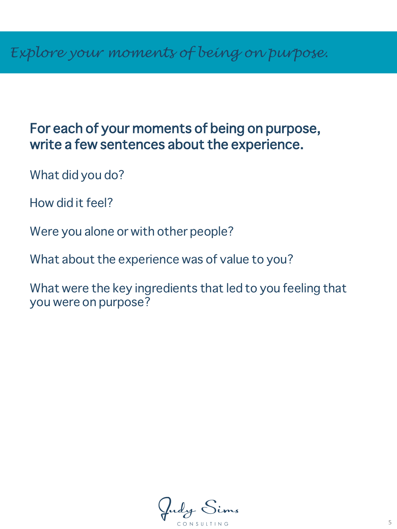#### For each of your moments of being on purpose, write a few sentences about the experience.

What did you do?

How did it feel?

Were you alone or with other people?

What about the experience was of value to you?

What were the key ingredients that led to you feeling that you were on purpose?

Indy Sims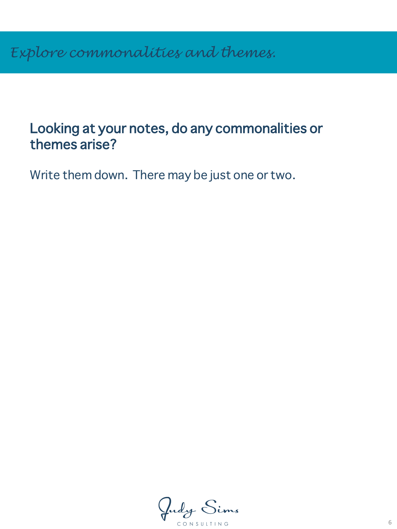#### Looking at your notes, do any commonalities or themes arise?

Write them down. There may be just one or two.

Judy Sims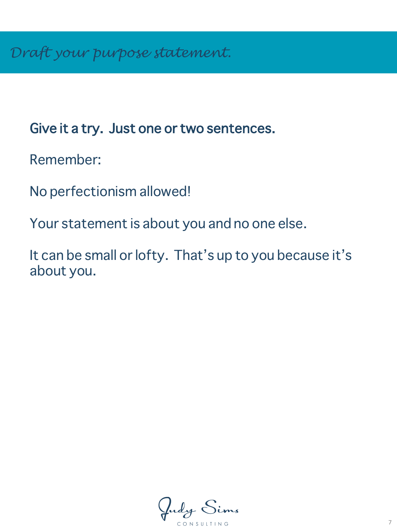### Give it a try. Just one or two sentences.

Remember:

No perfectionism allowed!

Your statement is about you and no one else.

It can be small or lofty. That's up to you because it's about you.

Judy Sims